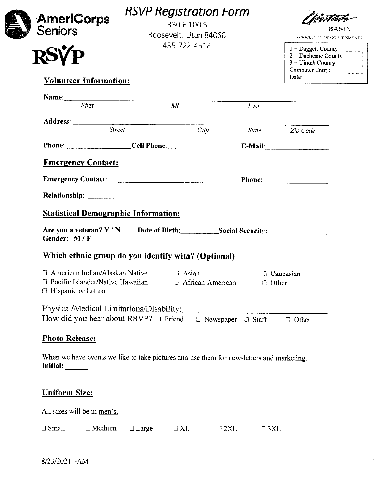| <b>AmeriCorps</b><br><b>Seniors</b>                                                                                        |               | <b>RSVP Registration Form</b><br>330 E 100 S<br>Roosevelt, Utah 84066 |                               | BASIN<br>ASSOCIATION OF GOVERNMENTS                              |
|----------------------------------------------------------------------------------------------------------------------------|---------------|-----------------------------------------------------------------------|-------------------------------|------------------------------------------------------------------|
| <b>RSVP</b>                                                                                                                |               | 435-722-4518                                                          |                               | 1 = Daggett County<br>2 = Duchesne County<br>$3 =$ Uintah County |
| <b>Volunteer Information:</b>                                                                                              |               |                                                                       |                               | Date:                                                            |
| $\frac{1}{First}$                                                                                                          |               | $\overline{M}$                                                        |                               |                                                                  |
|                                                                                                                            |               |                                                                       | Last                          |                                                                  |
|                                                                                                                            | <b>Street</b> | City                                                                  |                               | State <b>Zip</b> Code                                            |
| Phone: Cell Phone: E-Mail:                                                                                                 |               |                                                                       |                               |                                                                  |
|                                                                                                                            |               |                                                                       |                               |                                                                  |
| <b>Statistical Demographic Information:</b><br>Are you a veteran? Y / N Date of Birth: Social Security:<br>Gender: M/F     |               |                                                                       |                               |                                                                  |
| Which ethnic group do you identify with? (Optional)                                                                        |               |                                                                       |                               |                                                                  |
| $\Box$ American Indian/Alaskan Native $\Box$ Asian<br>$\Box$ Pacific Islander/Native Hawaiian<br>$\Box$ Hispanic or Latino |               | □ African-American                                                    | $\Box$ Other                  | $\Box$ Caucasian                                                 |
| Physical/Medical Limitations/Disability:<br>How did you hear about $RSVP? \Box$ Friend                                     |               |                                                                       | $\Box$ Newspaper $\Box$ Staff | $\Box$ Other                                                     |
| <b>Photo Release:</b>                                                                                                      |               |                                                                       |                               |                                                                  |

All sizes will be in men's.

| $\square$ Small | $\Box$ Medium | $\Box$ Large | $\Box$ XL | $\square$ 2XL | $\Box$ 3XL |
|-----------------|---------------|--------------|-----------|---------------|------------|
|-----------------|---------------|--------------|-----------|---------------|------------|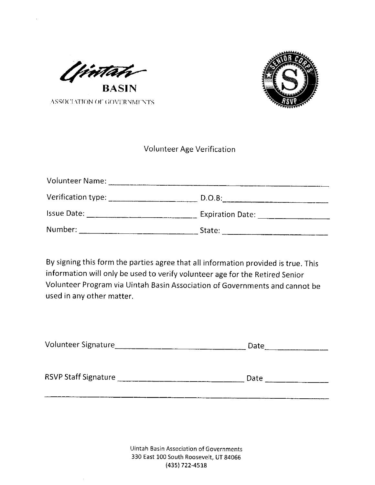

ASSOCIATION OF GOVERNMENTS



### Volunteer Age Verification

| <b>Volunteer Name:</b> |                         |
|------------------------|-------------------------|
| Verification type:     | D.O.B.                  |
| <b>Issue Date:</b>     | <b>Expiration Date:</b> |
| Number:                | State:                  |

By signing this form the parties agree that alt information provided is true. This information will only be used to verify volunteer age for the Retired Senior Volunteer Program via Uintah Basin Association of Governments and cannot be used in any other matter.

| Volunteer Signature         | Date |  |  |
|-----------------------------|------|--|--|
| <b>RSVP Staff Signature</b> | Date |  |  |
|                             |      |  |  |

IJintah Basin Association of Governments 330 East 100 South Roosevelt, UT 84066 (435) 722-4518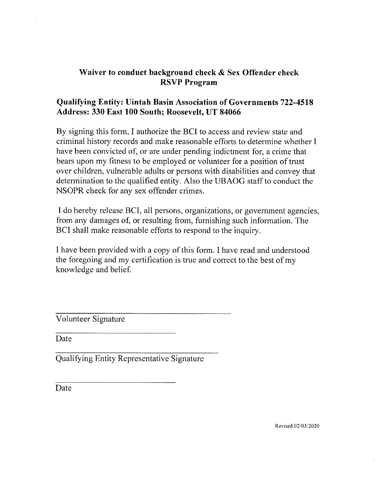## Waiver to conduct background check & Sex Offender check RSVP Program

## Qualifying Entity: Uintah Basin Association of Governments 722-4518 Address: 330 East 100 South; Roosevelt, UT 84066

By signing this form, I authorize the BCI to access and review state and criminal history records and make reasonable efforts to determine whether <sup>I</sup> have been convicted of; or are under pending indictment for, a crime that bears upon my fitness to be employed or volunteer for a position of trust over children, vulnerable adults or persons with disabilities and convey that determination to the qualified entity. Also the UBAUG staff to conduct the NSOPR check for any sex offender crimes.

<sup>I</sup> do hereby release BCI, all persons, organizations, or government agencies, from any damages of; or resulting from, furnishing such information. The BCI shall make reasonable efforts to respond to the inquiry.

<sup>I</sup> have been provided with a copy of this form. <sup>I</sup> have read and understood the foregoing and my certification is true and correct to the best of my knowledge and belief

Volunteer Signature

Date

Qualifying Entity Representative Signature

Date

Revised 02/03/2020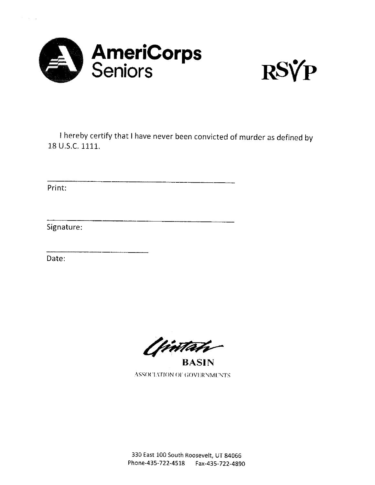



I hereby certify that I have never been convicted of murder as defined by 18 U.S.C. 1111.

Print:

 $\sigma_{\rm c}$  ,  $\sigma_{\rm c}$  ,  $\sigma_{\rm c}$ 

Signature:

Date:

tima

BASIN ASSOCIATION OF GOVERNMENTS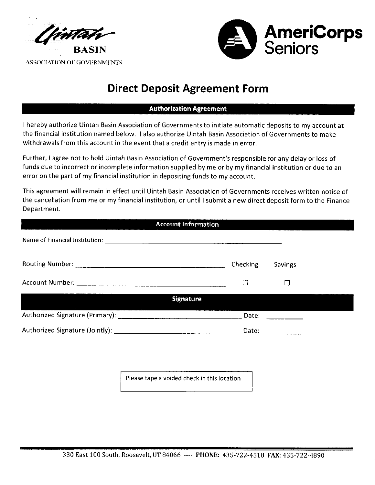



ASSOCIATION OF GOVERNMENTS

## Direct Deposit Agreement Form

#### Authorization Agreement

<sup>I</sup> hereby authorize Uintah Basin Association of Governments to initiate automatic deposits to my account at the financial institution named below. <sup>I</sup> also authorize Uintah Basin Association of Governments to make withdrawals from this account in the event that <sup>a</sup> credit entry is made in error.

Further, <sup>I</sup> agree not to hold Uintah Basin Association of Government's responsible for any delay or loss of funds due to incorrect or incomplete information supplied by me or by my financial institution or due to an error on the part of my financial institution in depositing funds to my account.

This agreement will remain in effect until Uintah Basin Association of Governments receives written notice of the cancellation from me or my financial institution, or until <sup>I</sup> submit <sup>a</sup> new direct deposit form to the Finance Department.

| <b>Account Information</b>                  |                 |         |  |
|---------------------------------------------|-----------------|---------|--|
|                                             |                 |         |  |
|                                             | <b>Checking</b> | Savings |  |
|                                             | m               |         |  |
| <b>Signature</b>                            |                 |         |  |
|                                             | Date:           |         |  |
|                                             |                 |         |  |
|                                             |                 |         |  |
|                                             |                 |         |  |
| Please tape a voided check in this location |                 |         |  |